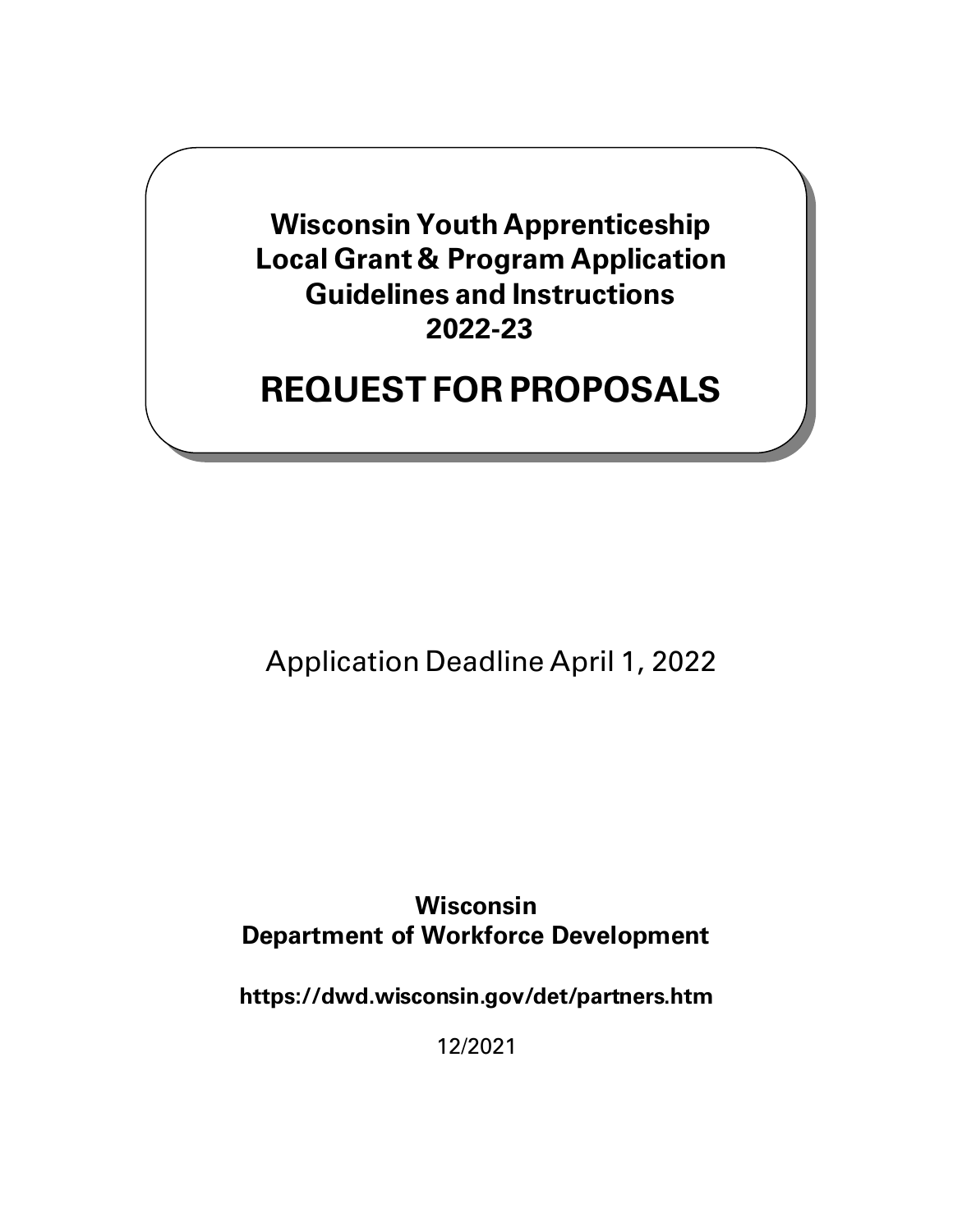**Wisconsin Youth Apprenticeship Local Grant & Program Application Guidelines and Instructions 2022-23**

# **REQUEST FOR PROPOSALS**

Application Deadline April 1, 2022

**Wisconsin Department of Workforce Development**

**https://dwd.wisconsin.gov/det/partners.htm**

12/2021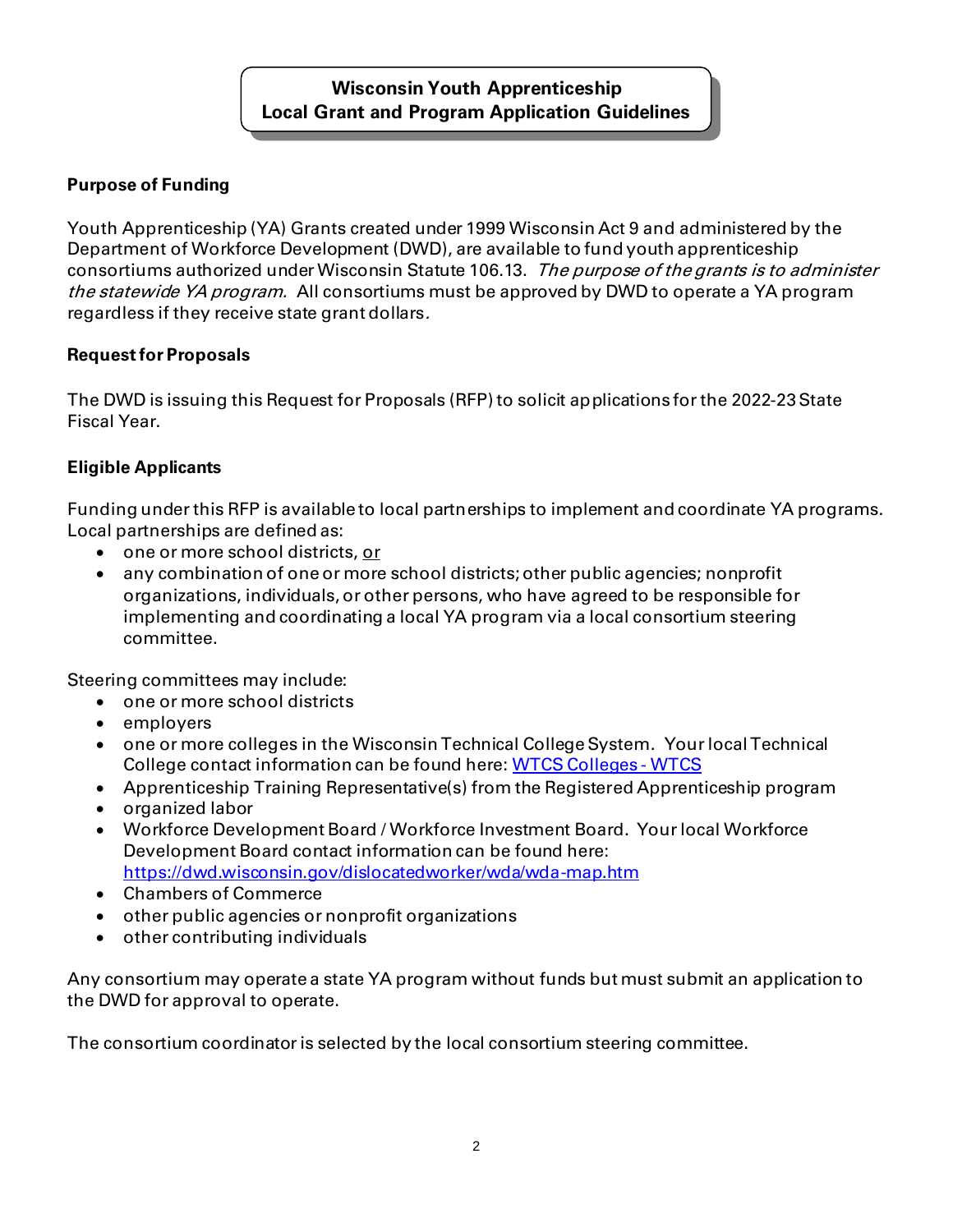# **Wisconsin Youth Apprenticeship Local Grant and Program Application Guidelines**

# **Purpose of Funding**

Youth Apprenticeship (YA) Grants created under 1999 Wisconsin Act 9 and administered by the Department of Workforce Development (DWD), are available to fund youth apprenticeship consortiums authorized under Wisconsin Statute 106.13. The purpose of the grants is to administer the statewide YA program. All consortiums must be approved by DWD to operate a YA program regardless if they receive state grant dollars.

#### **Request for Proposals**

The DWD is issuing this Request for Proposals (RFP) to solicit applications for the 2022-23State Fiscal Year.

# **Eligible Applicants**

Funding under this RFP is available to local partnerships to implement and coordinate YA programs. Local partnerships are defined as:

- one or more school districts, or
- any combination of one or more school districts; other public agencies; nonprofit organizations, individuals, or other persons, who have agreed to be responsible for implementing and coordinating a local YA program via a local consortium steering committee.

Steering committees may include:

- one or more school districts
- employers
- one or more colleges in the Wisconsin Technical College System. Yourlocal Technical College contact information can be found here[: WTCS Colleges -](https://www.wtcsystem.edu/colleges) WTCS
- Apprenticeship Training Representative(s) from the Registered Apprenticeship program
- organized labor
- Workforce Development Board / Workforce Investment Board. Your local Workforce Development Board contact information can be found here: <https://dwd.wisconsin.gov/dislocatedworker/wda/wda-map.htm>
- Chambers of Commerce
- other public agencies or nonprofit organizations
- other contributing individuals

Any consortium may operate a state YA program without funds but must submit an application to the DWD for approval to operate.

The consortium coordinator is selected by the local consortium steering committee.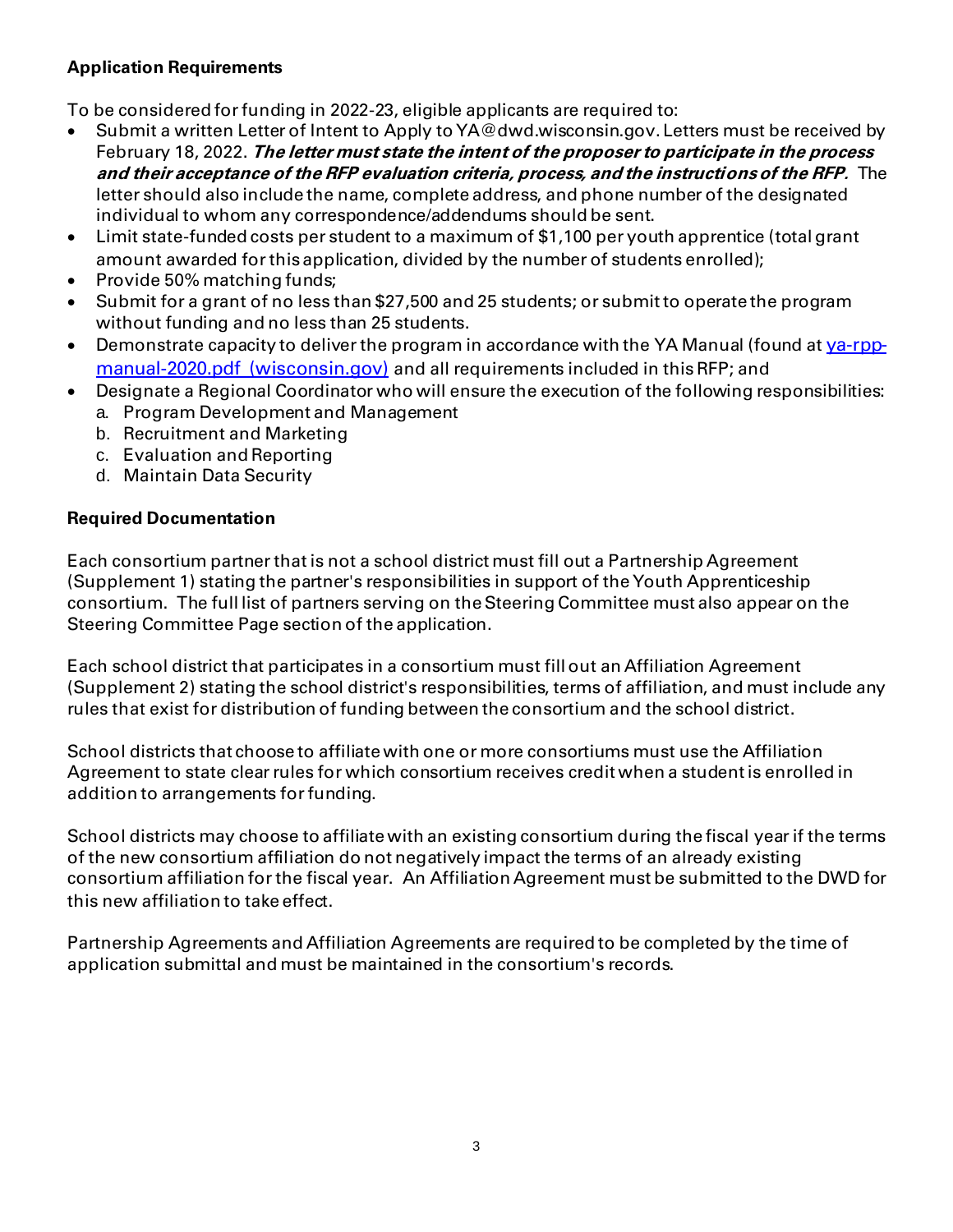#### **Application Requirements**

To be considered for funding in 2022-23, eligible applicants are required to:

- Submit a written Letter of Intent to Apply to YA@dwd.wisconsin.gov. Letters must be received by February 18, 2022. **The letter must state the intent of the proposer to participate in the process and their acceptance of the RFP evaluation criteria, process, and the instructions of the RFP.** The letter should also include the name, complete address, and phone number of the designated individual to whom any correspondence/addendums should be sent.
- Limit state-funded costs per student to a maximum of \$1,100 per youth apprentice (total grant amount awarded for this application, divided by the number of students enrolled);
- Provide 50% matching funds;
- Submit for a grant of no less than \$27,500 and 25 students; or submit to operate the program without funding and no less than 25 students.
- Demonstrate capacity to deliver the program in accordance with the YA Manual (found at [ya-rpp](https://dwd.wisconsin.gov/apprenticeship/ya/pdf/ya-rpp-manual-2020.pdf)[manual-2020.pdf \(wisconsin.gov\)](https://dwd.wisconsin.gov/apprenticeship/ya/pdf/ya-rpp-manual-2020.pdf) and all requirements included in this RFP; and
- Designate a Regional Coordinator who will ensure the execution of the following responsibilities:
	- a. Program Development and Management
	- b. Recruitment and Marketing
	- c. Evaluation and Reporting
	- d. Maintain Data Security

#### **Required Documentation**

Each consortium partner that is not a school district must fill out a Partnership Agreement (Supplement 1) stating the partner's responsibilities in support of the Youth Apprenticeship consortium. The full list of partners serving on the Steering Committee must also appear on the Steering Committee Page section of the application.

Each school district that participates in a consortium must fill out an Affiliation Agreement (Supplement 2) stating the school district's responsibilities, terms of affiliation, and must include any rules that exist for distribution of funding between the consortium and the school district.

School districts that choose to affiliate with one or more consortiums must use the Affiliation Agreement to state clear rules for which consortium receives credit when a student is enrolled in addition to arrangements for funding.

School districts may choose to affiliate with an existing consortium during the fiscal year if the terms of the new consortium affiliation do not negatively impact the terms of an already existing consortium affiliation for the fiscal year. An Affiliation Agreement must be submitted to the DWD for this new affiliation to take effect.

Partnership Agreements and Affiliation Agreements are required to be completed by the time of application submittal and must be maintained in the consortium's records.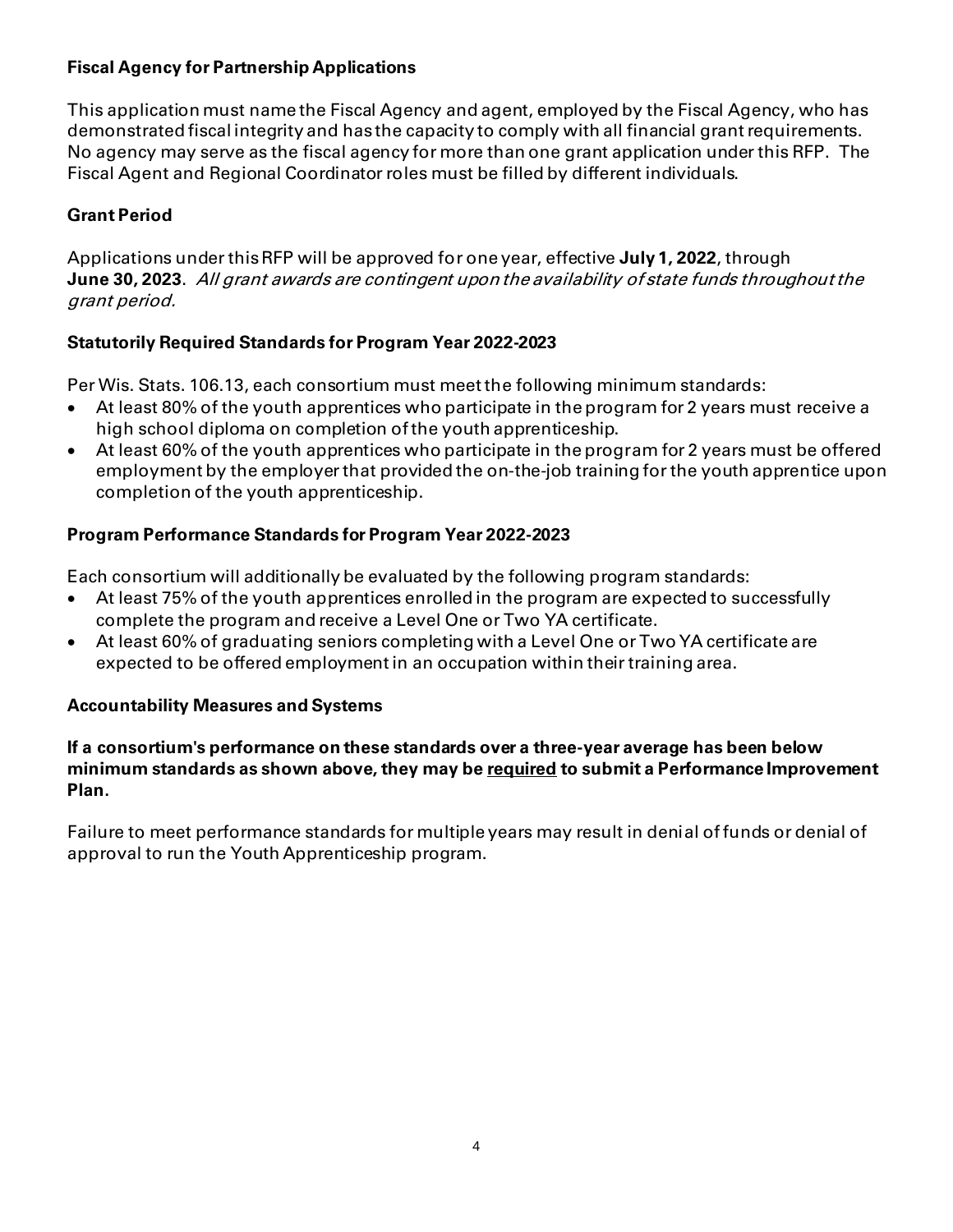## **Fiscal Agency for Partnership Applications**

This application must name the Fiscal Agency and agent, employed by the Fiscal Agency, who has demonstrated fiscal integrity and has the capacity to comply with all financial grant requirements. No agency may serve as the fiscal agency for more than one grant application under this RFP. The Fiscal Agent and Regional Coordinator roles must be filled by different individuals.

## **Grant Period**

Applications under this RFP will be approved for one year, effective **July 1, 2022**, through **June 30, 2023**. All grant awards are contingent upon the availability of state funds throughout the grant period.

#### **Statutorily Required Standards for Program Year 2022-2023**

Per Wis. Stats. 106.13, each consortium must meet the following minimum standards:

- At least 80% of the youth apprentices who participate in the program for 2 years must receive a high school diploma on completion of the youth apprenticeship.
- At least 60% of the youth apprentices who participate in the program for 2 years must be offered employment by the employer that provided the on-the-job training for the youth apprentice upon completion of the youth apprenticeship.

#### **Program Performance Standards for Program Year 2022-2023**

Each consortium will additionally be evaluated by the following program standards:

- At least 75% of the youth apprentices enrolled in the program are expected to successfully complete the program and receive a Level One or Two YA certificate.
- At least 60% of graduating seniors completing with a Level One or Two YA certificate are expected to be offered employment in an occupation within their training area.

#### **Accountability Measures and Systems**

#### **If a consortium's performance on these standards over a three-year average has been below minimum standards as shown above, they may be required to submit a Performance Improvement Plan.**

Failure to meet performance standards for multiple years may result in denial of funds or denial of approval to run the Youth Apprenticeship program.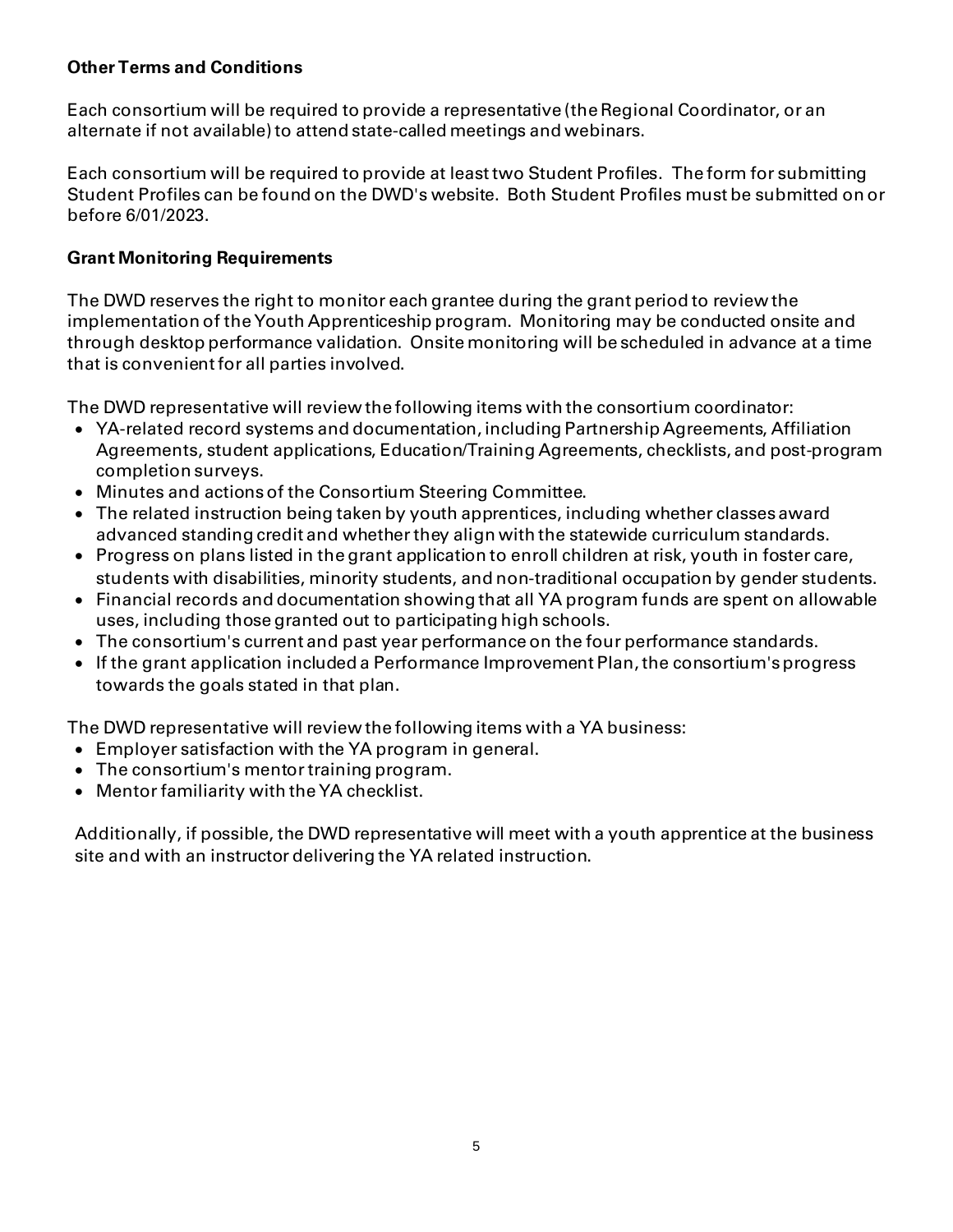#### **Other Terms and Conditions**

Each consortium will be required to provide a representative (the Regional Coordinator, or an alternate if not available) to attend state-called meetings and webinars.

Each consortium will be required to provide at least two Student Profiles. The form for submitting Student Profiles can be found on the DWD's website. Both Student Profiles must be submitted on or before 6/01/2023.

#### **Grant Monitoring Requirements**

The DWD reserves the right to monitor each grantee during the grant period to review the implementation of the Youth Apprenticeship program. Monitoring may be conducted onsite and through desktop performance validation. Onsite monitoring will be scheduled in advance at a time that is convenient for all parties involved.

The DWD representative will review the following items with the consortium coordinator:

- YA-related record systems and documentation, including Partnership Agreements, Affiliation Agreements, student applications, Education/Training Agreements, checklists, and post-program completion surveys.
- Minutes and actions of the Consortium Steering Committee.
- The related instruction being taken by youth apprentices, including whether classes award advanced standing credit and whether they align with the statewide curriculum standards.
- Progress on plans listed in the grant application to enroll children at risk, youth in foster care, students with disabilities, minority students, and non-traditional occupation by gender students.
- Financial records and documentation showing that all YA program funds are spent on allowable uses, including those granted out to participating high schools.
- The consortium's current and past year performance on the four performance standards.
- If the grant application included a Performance Improvement Plan, the consortium's progress towards the goals stated in that plan.

The DWD representative will review the following items with a YA business:

- Employer satisfaction with the YA program in general.
- The consortium's mentor training program.
- Mentor familiarity with the YA checklist.

Additionally, if possible, the DWD representative will meet with a youth apprentice at the business site and with an instructor delivering the YA related instruction.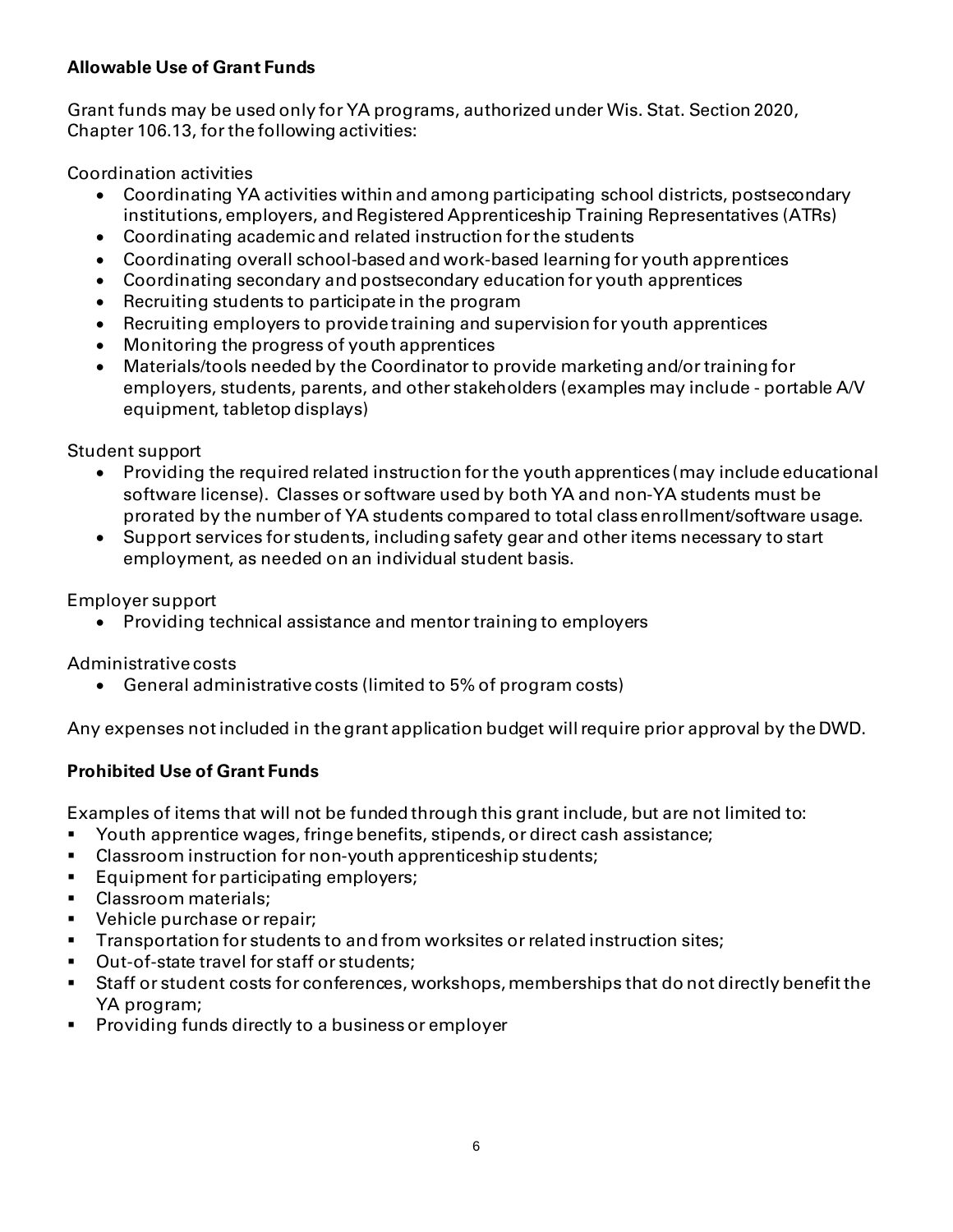# **Allowable Use of Grant Funds**

Grant funds may be used only for YA programs, authorized under Wis. Stat. Section 2020, Chapter 106.13, for the following activities:

Coordination activities

- Coordinating YA activities within and among participating school districts, postsecondary institutions, employers, and Registered Apprenticeship Training Representatives (ATRs)
- Coordinating academic and related instruction for the students
- Coordinating overall school-based and work-based learning for youth apprentices
- Coordinating secondary and postsecondary education for youth apprentices
- Recruiting students to participate in the program
- Recruiting employers to provide training and supervision for youth apprentices
- Monitoring the progress of youth apprentices
- Materials/tools needed by the Coordinator to provide marketing and/or training for employers, students, parents, and other stakeholders (examples may include - portable A/V equipment, tabletop displays)

Student support

- Providing the required related instruction for the youth apprentices (may include educational software license). Classes or software used by both YA and non-YA students must be prorated by the number of YA students compared to total class enrollment/software usage.
- Support services for students, including safety gear and other items necessary to start employment, as needed on an individual student basis.

Employer support

• Providing technical assistance and mentor training to employers

Administrative costs

• General administrative costs (limited to 5% of program costs)

Any expenses not included in the grant application budget will require prior approval by the DWD.

# **Prohibited Use of Grant Funds**

Examples of items that will not be funded through this grant include, but are not limited to:

- Youth apprentice wages, fringe benefits, stipends, or direct cash assistance;
- Classroom instruction for non-youth apprenticeship students;
- Equipment for participating employers;
- Classroom materials;
- Vehicle purchase or repair;
- Transportation for students to and from worksites or related instruction sites;
- Out-of-state travel for staff or students;
- Staff or student costs for conferences, workshops, memberships that do not directly benefit the YA program;
- **•** Providing funds directly to a business or employer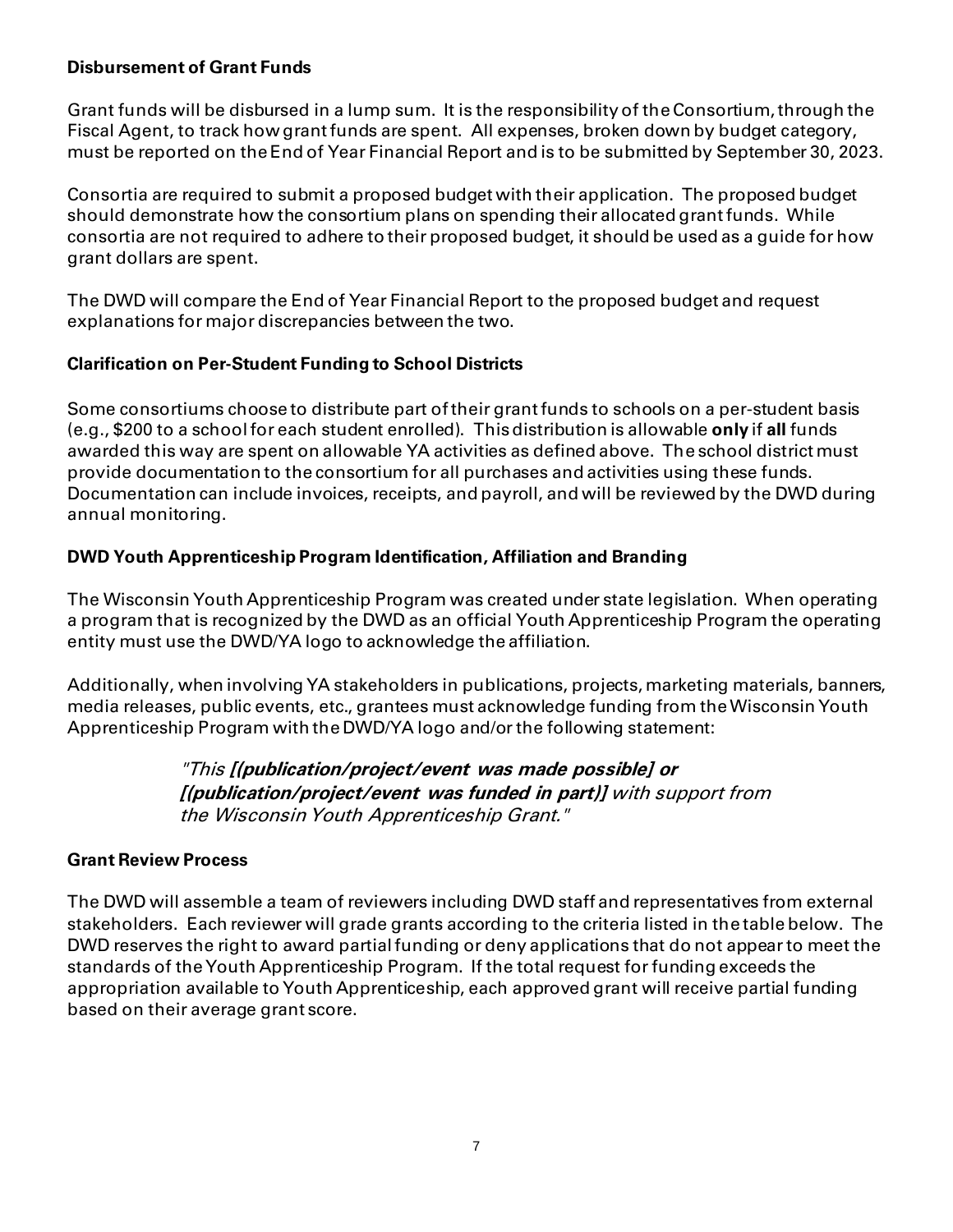#### **Disbursement of Grant Funds**

Grant funds will be disbursed in a lump sum. It is the responsibility of the Consortium, through the Fiscal Agent, to track how grant funds are spent. All expenses, broken down by budget category, must be reported on the End of Year Financial Report and is to be submitted by September 30, 2023.

Consortia are required to submit a proposed budget with their application. The proposed budget should demonstrate how the consortium plans on spending their allocated grant funds. While consortia are not required to adhere to their proposed budget, it should be used as a guide for how grant dollars are spent.

The DWD will compare the End of Year Financial Report to the proposed budget and request explanations for major discrepancies between the two.

#### **Clarification on Per-Student Funding to School Districts**

Some consortiums choose to distribute part of their grant funds to schools on a per-student basis (e.g., \$200 to a school for each student enrolled). This distribution is allowable **only** if **all** funds awarded this way are spent on allowable YA activities as defined above. The school district must provide documentation to the consortium for all purchases and activities using these funds. Documentation can include invoices, receipts, and payroll, and will be reviewed by the DWD during annual monitoring.

# **DWD Youth Apprenticeship Program Identification, Affiliation and Branding**

The Wisconsin Youth Apprenticeship Program was created under state legislation. When operating a program that is recognized by the DWD as an official Youth Apprenticeship Program the operating entity must use the DWD/YA logo to acknowledge the affiliation.

Additionally, when involving YA stakeholders in publications, projects, marketing materials, banners, media releases, public events, etc., grantees must acknowledge funding from the Wisconsin Youth Apprenticeship Program with the DWD/YA logo and/orthe following statement:

> "This **[(publication/project/event was made possible] or [(publication/project/event was funded in part)]** with support from the Wisconsin Youth Apprenticeship Grant."

#### **Grant Review Process**

The DWD will assemble a team of reviewers including DWD staff and representatives from external stakeholders. Each reviewer will grade grants according to the criteria listed in the table below. The DWD reserves the right to award partial funding or deny applications that do not appear to meet the standards of the Youth Apprenticeship Program. If the total request for funding exceeds the appropriation available to Youth Apprenticeship, each approved grant will receive partial funding based on their average grant score.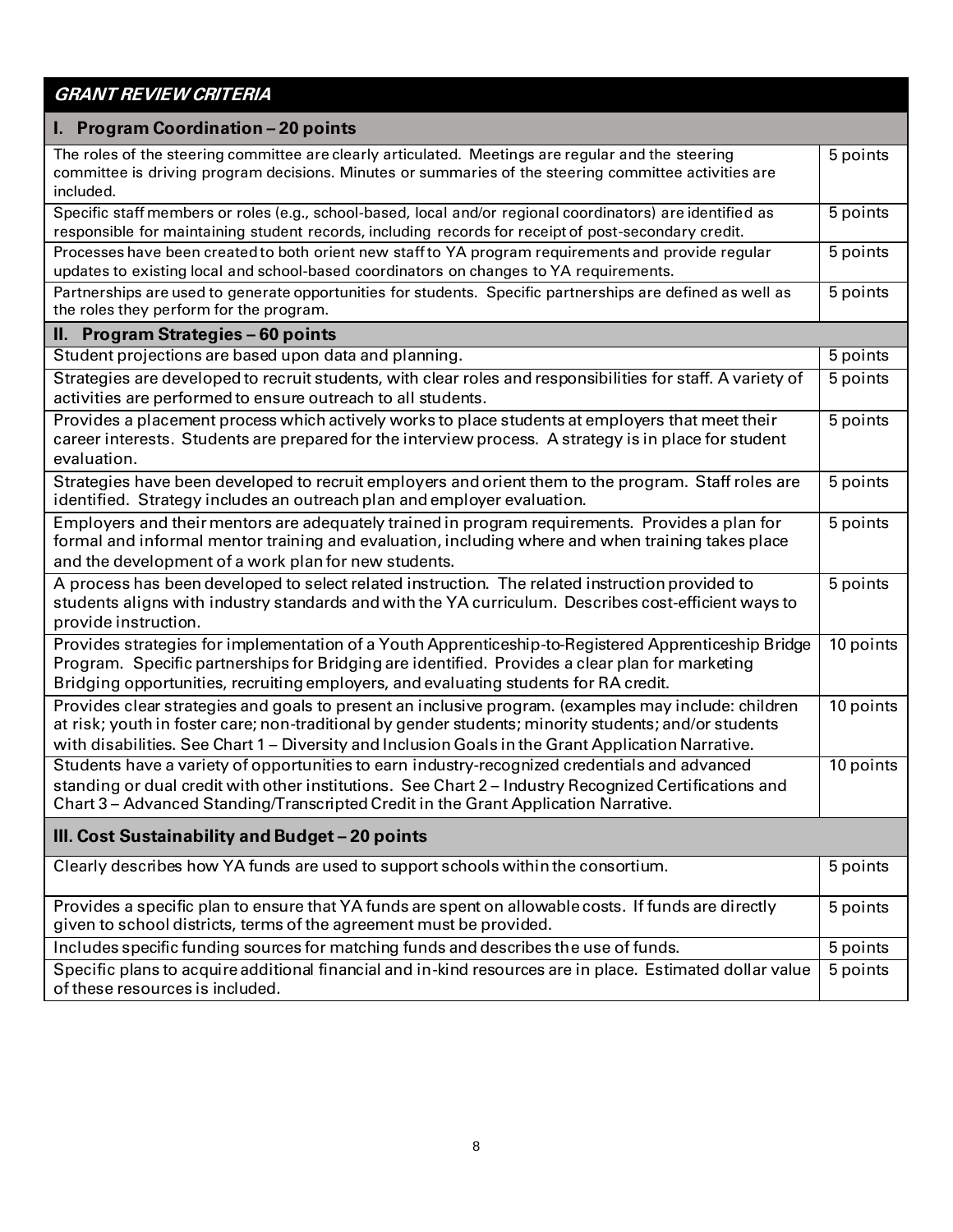# **GRANT REVIEW CRITERIA**

| I. Program Coordination - 20 points                                                                                                                                                                                                                                                                                 |                       |  |  |  |  |  |  |
|---------------------------------------------------------------------------------------------------------------------------------------------------------------------------------------------------------------------------------------------------------------------------------------------------------------------|-----------------------|--|--|--|--|--|--|
| The roles of the steering committee are clearly articulated. Meetings are regular and the steering<br>committee is driving program decisions. Minutes or summaries of the steering committee activities are<br>included.                                                                                            |                       |  |  |  |  |  |  |
| Specific staff members or roles (e.g., school-based, local and/or regional coordinators) are identified as<br>responsible for maintaining student records, including records for receipt of post-secondary credit.                                                                                                  | 5 points              |  |  |  |  |  |  |
| Processes have been created to both orient new staff to YA program requirements and provide regular<br>updates to existing local and school-based coordinators on changes to YA requirements.                                                                                                                       | 5 points              |  |  |  |  |  |  |
| Partnerships are used to generate opportunities for students. Specific partnerships are defined as well as<br>the roles they perform for the program.                                                                                                                                                               |                       |  |  |  |  |  |  |
| II. Program Strategies - 60 points                                                                                                                                                                                                                                                                                  |                       |  |  |  |  |  |  |
| Student projections are based upon data and planning.                                                                                                                                                                                                                                                               | 5 points              |  |  |  |  |  |  |
| Strategies are developed to recruit students, with clear roles and responsibilities for staff. A variety of<br>activities are performed to ensure outreach to all students.                                                                                                                                         | 5 points              |  |  |  |  |  |  |
| Provides a placement process which actively works to place students at employers that meet their<br>career interests. Students are prepared for the interview process. A strategy is in place for student<br>evaluation.                                                                                            | 5 points              |  |  |  |  |  |  |
| Strategies have been developed to recruit employers and orient them to the program. Staff roles are<br>identified. Strategy includes an outreach plan and employer evaluation.                                                                                                                                      | 5 points              |  |  |  |  |  |  |
| Employers and their mentors are adequately trained in program requirements. Provides a plan for<br>formal and informal mentor training and evaluation, including where and when training takes place<br>and the development of a work plan for new students.                                                        | $\overline{5}$ points |  |  |  |  |  |  |
| A process has been developed to select related instruction. The related instruction provided to<br>students aligns with industry standards and with the YA curriculum. Describes cost-efficient ways to<br>provide instruction.                                                                                     | 5 points              |  |  |  |  |  |  |
| Provides strategies for implementation of a Youth Apprenticeship-to-Registered Apprenticeship Bridge<br>Program. Specific partnerships for Bridging are identified. Provides a clear plan for marketing<br>Bridging opportunities, recruiting employers, and evaluating students for RA credit.                     | 10 points             |  |  |  |  |  |  |
| Provides clear strategies and goals to present an inclusive program. (examples may include: children<br>at risk; youth in foster care; non-traditional by gender students; minority students; and/or students<br>with disabilities. See Chart 1 – Diversity and Inclusion Goals in the Grant Application Narrative. | 10 points             |  |  |  |  |  |  |
| Students have a variety of opportunities to earn industry-recognized credentials and advanced<br>standing or dual credit with other institutions. See Chart 2 - Industry Recognized Certifications and<br>Chart 3 - Advanced Standing/Transcripted Credit in the Grant Application Narrative.                       | 10 points             |  |  |  |  |  |  |
| III. Cost Sustainability and Budget - 20 points                                                                                                                                                                                                                                                                     |                       |  |  |  |  |  |  |
| Clearly describes how YA funds are used to support schools within the consortium.                                                                                                                                                                                                                                   | 5 points              |  |  |  |  |  |  |
| Provides a specific plan to ensure that YA funds are spent on allowable costs. If funds are directly<br>given to school districts, terms of the agreement must be provided.                                                                                                                                         | 5 points              |  |  |  |  |  |  |
| Includes specific funding sources for matching funds and describes the use of funds.                                                                                                                                                                                                                                | 5 points              |  |  |  |  |  |  |
| Specific plans to acquire additional financial and in-kind resources are in place. Estimated dollar value<br>of these resources is included.                                                                                                                                                                        |                       |  |  |  |  |  |  |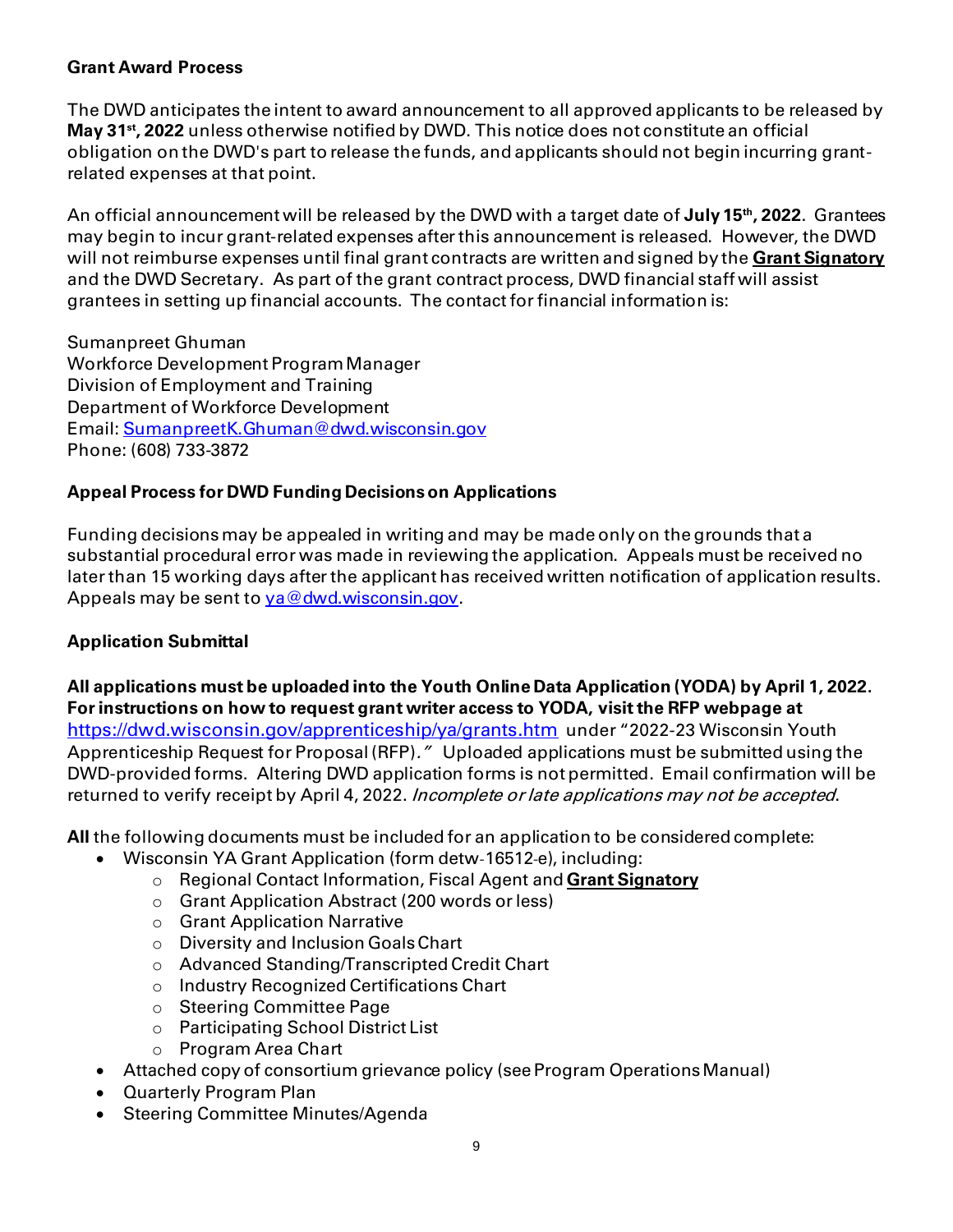#### **Grant Award Process**

The DWD anticipates the intent to award announcement to all approved applicants to be released by **May 31st , 2022** unless otherwise notified by DWD. This notice does not constitute an official obligation on the DWD's part to release the funds, and applicants should not begin incurring grantrelated expenses at that point.

An official announcement will be released by the DWD with a target date of **July 15 th , 2022**. Grantees may begin to incur grant-related expenses after this announcement is released. However, the DWD will not reimburse expenses until final grant contracts are written and signed by the **Grant Signatory** and the DWD Secretary. As part of the grant contract process, DWD financial staff will assist grantees in setting up financial accounts. The contact for financial information is:

Sumanpreet Ghuman Workforce Development Program Manager Division of Employment and Training Department of Workforce Development Email[: SumanpreetK.Ghuman@dwd.wisconsin.gov](mailto:SumanpreetK.Ghuman@dwd.wisconsin.gov) Phone: (608) 733-3872

#### **Appeal Process for DWD Funding Decisionson Applications**

Funding decisions may be appealed in writing and may be made only on the grounds that a substantial procedural error was made in reviewing the application. Appeals must be received no later than 15 working days after the applicant has received written notification of application results. Appeals may be sent to va@dwd.wisconsin.gov.

# **Application Submittal**

**All applications must be uploaded into the Youth Online Data Application (YODA) by April 1, 2022. For instructions on how to request grant writer access to YODA, visit the RFP webpage at**  <https://dwd.wisconsin.gov/apprenticeship/ya/grants.htm> under "2022-23 Wisconsin Youth Apprenticeship Request for Proposal (RFP)." Uploaded applications must be submitted using the DWD-provided forms. Altering DWD application forms is not permitted. Email confirmation will be returned to verify receipt by April 4, 2022. Incomplete or late applications may not be accepted.

**All** the following documents must be included for an application to be considered complete:

- Wisconsin YA Grant Application (form detw-16512-e), including:
	- o Regional Contact Information, Fiscal Agent and **Grant Signatory**
	- o Grant Application Abstract (200 words or less)
	- o Grant Application Narrative
	- o Diversity and Inclusion Goals Chart
	- o Advanced Standing/Transcripted Credit Chart
	- o Industry Recognized Certifications Chart
	- o Steering Committee Page
	- o Participating School District List
	- o Program Area Chart
- Attached copy of consortium grievance policy (see Program Operations Manual)
- Quarterly Program Plan
- Steering Committee Minutes/Agenda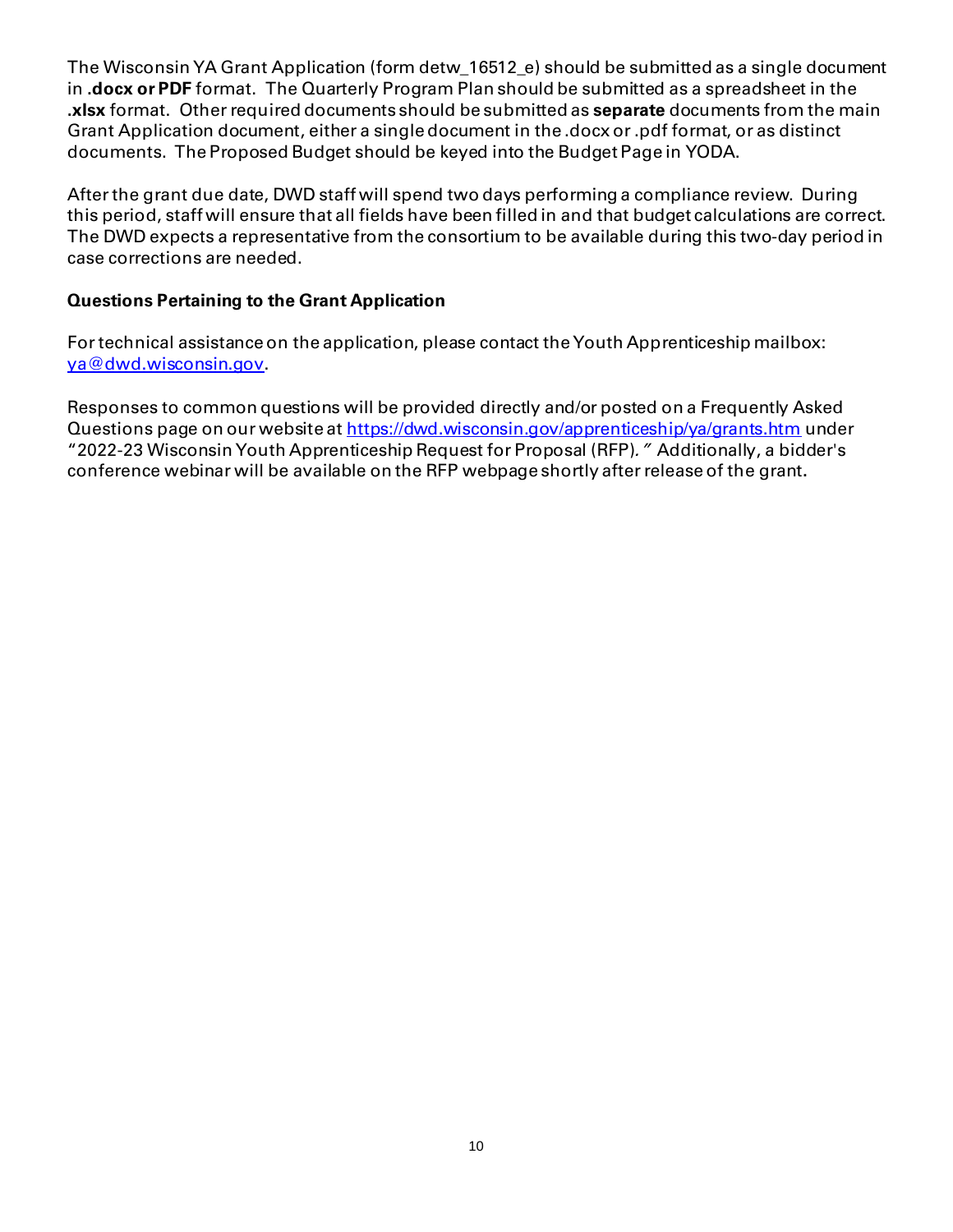The Wisconsin YA Grant Application (form detw\_16512\_e) should be submitted as a single document in **.docx or PDF** format. The Quarterly Program Plan should be submitted as a spreadsheet in the **.xlsx** format. Other required documents should be submitted as **separate** documents from the main Grant Application document, either a single document in the .docx or .pdf format, or as distinct documents. The Proposed Budget should be keyed into the Budget Page in YODA.

After the grant due date, DWD staff will spend two days performing a compliance review. During this period, staff will ensure that all fields have been filled in and that budget calculations are correct. The DWD expects a representative from the consortium to be available during this two-day period in case corrections are needed.

#### **Questions Pertaining to the Grant Application**

For technical assistance on the application, please contact the Youth Apprenticeship mailbox: [ya@dwd.wisconsin.gov](mailto:ya@dwd.wisconsin.gov).

Responses to common questions will be provided directly and/or posted on a Frequently Asked Questions page on our website a[t https://dwd.wisconsin.gov/apprenticeship/ya/grants.htm](https://dwd.wisconsin.gov/apprenticeship/ya/grants.htm) under "2022-23 Wisconsin Youth Apprenticeship Request for Proposal (RFP)." Additionally, a bidder's conference webinar will be available on the RFP webpage shortly after release of the grant**.**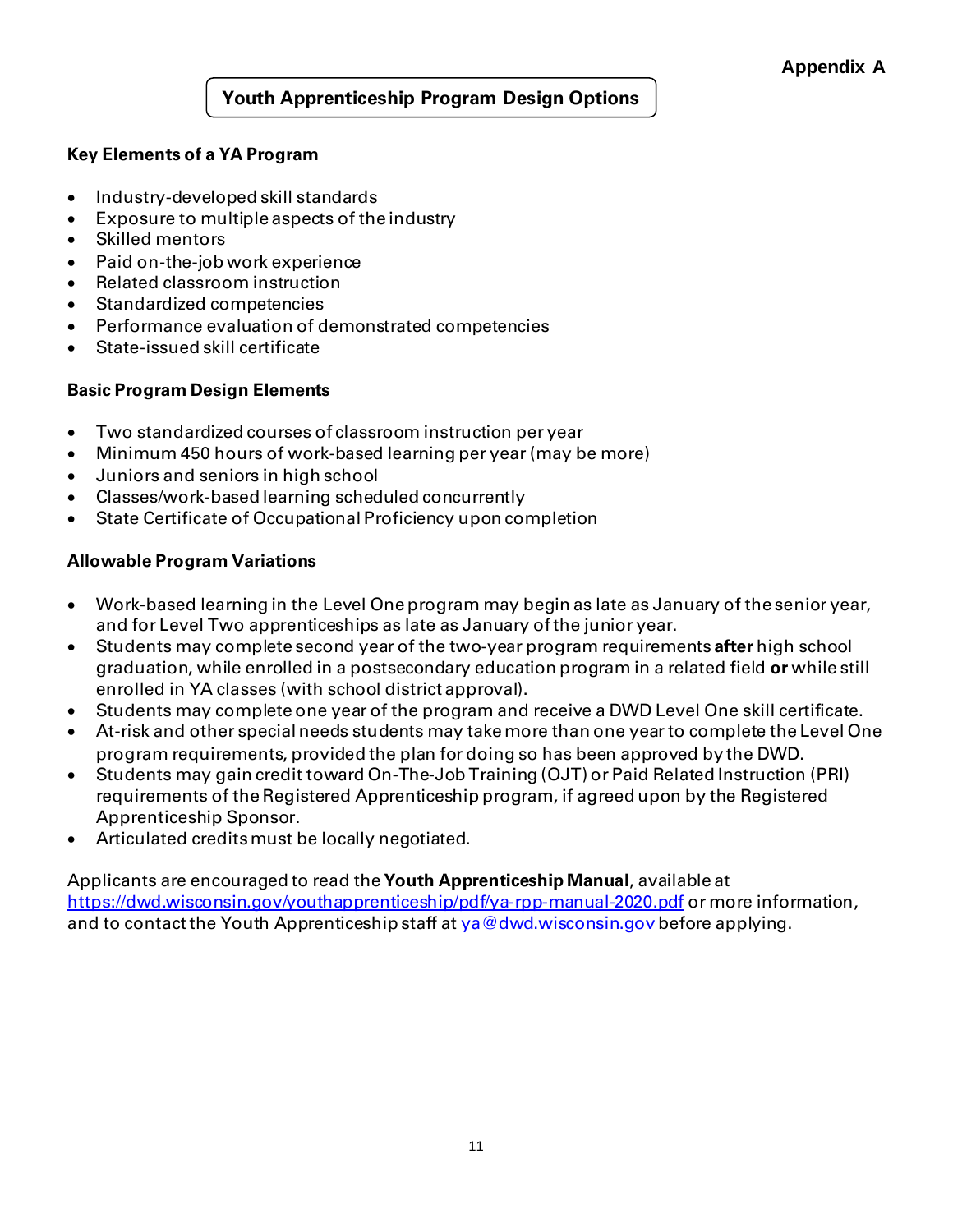## **Youth Apprenticeship Program Design Options**

#### **Key Elements of a YA Program**

- Industry-developed skill standards
- Exposure to multiple aspects of the industry
- Skilled mentors
- Paid on-the-job work experience
- Related classroom instruction
- Standardized competencies
- Performance evaluation of demonstrated competencies
- State-issued skill certificate

#### **Basic Program Design Elements**

- Two standardized courses of classroom instruction per year
- Minimum 450 hours of work-based learning per year (may be more)
- Juniors and seniors in high school
- Classes/work-based learning scheduled concurrently
- State Certificate of Occupational Proficiency upon completion

#### **Allowable Program Variations**

- Work-based learning in the Level One program may begin as late as January of the senior year, and for Level Two apprenticeships as late as January of the junior year.
- Students may complete second year of the two-year program requirements **after** high school graduation, while enrolled in a postsecondary education program in a related field **or** while still enrolled in YA classes (with school district approval).
- Students may complete one year of the program and receive a DWD Level One skill certificate.
- At-risk and other special needs students may take more than one year to complete the Level One program requirements, provided the plan for doing so has been approved by the DWD.
- Students may gain credit toward On-The-Job Training (OJT) or Paid Related Instruction (PRI) requirements of the Registered Apprenticeship program, if agreed upon by the Registered Apprenticeship Sponsor.
- Articulated creditsmust be locally negotiated.

Applicants are encouraged to read the **Youth Apprenticeship Manual**, available at <https://dwd.wisconsin.gov/youthapprenticeship/pdf/ya-rpp-manual-2020.pdf> or more information, and to contact the Youth Apprenticeship staff a[t ya@dwd.wisconsin.gov](mailto:ya@dwd.wisconsin.gov) before applying.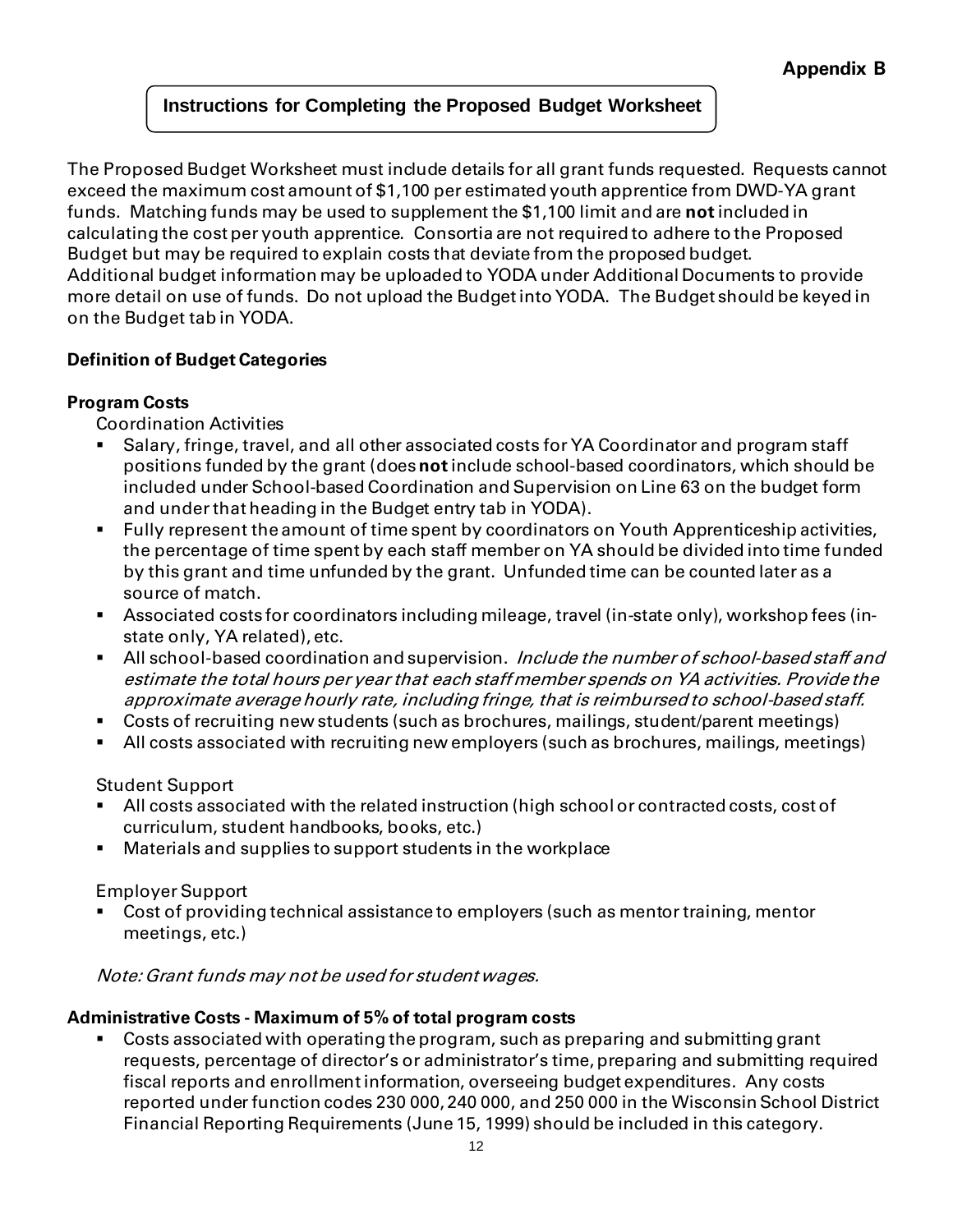# **Instructions for Completing the Proposed Budget Worksheet**

The Proposed Budget Worksheet must include details for all grant funds requested. Requests cannot exceed the maximum cost amount of \$1,100 per estimated youth apprentice from DWD-YA grant funds. Matching funds may be used to supplement the \$1,100 limit and are **not** included in calculating the cost per youth apprentice. Consortia are not required to adhere to the Proposed Budget but may be required to explain costs that deviate from the proposed budget. Additional budget information may be uploaded to YODA under Additional Documents to provide more detail on use of funds. Do not upload the Budget into YODA. The Budget should be keyed in on the Budget tab in YODA.

# **Definition of Budget Categories**

# **Program Costs**

Coordination Activities

- Salary, fringe, travel, and all other associated costs for YA Coordinator and program staff positions funded by the grant (does **not**include school-based coordinators, which should be included under School-based Coordination and Supervision on Line 63 on the budget form and under that heading in the Budget entry tab in YODA).
- Fully represent the amount of time spent by coordinators on Youth Apprenticeship activities, the percentage of time spent by each staff member on YA should be divided into time funded by this grant and time unfunded by the grant. Unfunded time can be counted later as a source of match.
- Associated costs for coordinators including mileage, travel (in-state only), workshop fees (instate only, YA related), etc.
- All school-based coordination and supervision. Include the number of school-based staff and estimate the total hours per year that each staff member spends on YA activities. Provide the approximate average hourly rate, including fringe, that is reimbursed to school-based staff.
- Costs of recruiting new students (such as brochures, mailings, student/parent meetings)
- All costs associated with recruiting new employers (such as brochures, mailings, meetings)

Student Support

- All costs associated with the related instruction (high school or contracted costs, cost of curriculum, student handbooks, books, etc.)
- Materials and supplies to support students in the workplace

Employer Support

Cost of providing technical assistance to employers (such as mentor training, mentor meetings, etc.)

Note:Grant funds may not be used for student wages.

# **Administrative Costs - Maximum of 5% of total program costs**

Costs associated with operating the program, such as preparing and submitting grant requests, percentage of director's or administrator's time, preparing and submitting required fiscal reports and enrollment information, overseeing budget expenditures. Any costs reported under function codes 230 000, 240 000, and 250 000 in the Wisconsin School District Financial Reporting Requirements (June 15, 1999) should be included in this category.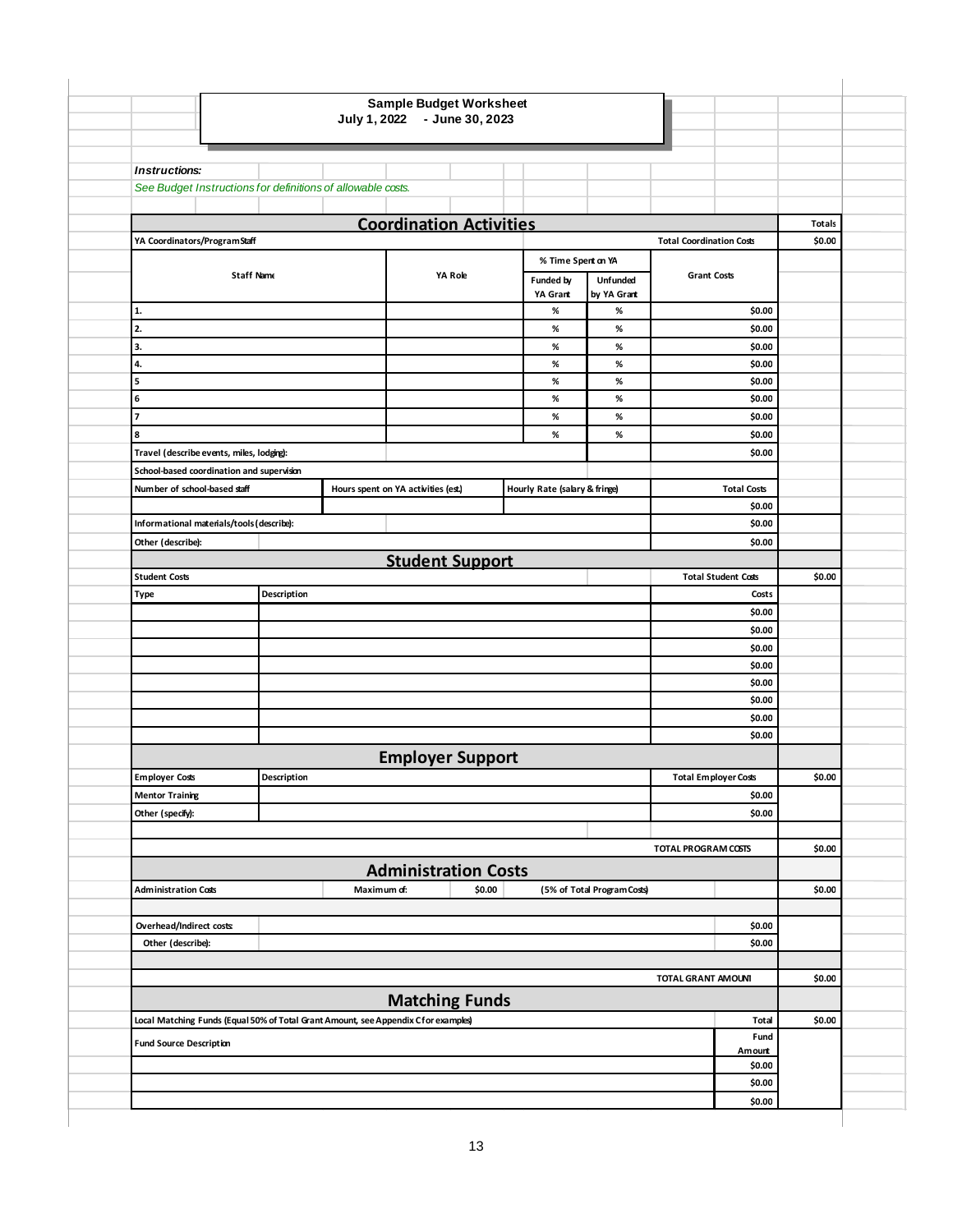|                                                                                    |                   |                                     | July 1, 2022 - June 30, 2023   |                               |                             |                                 |                             |        |
|------------------------------------------------------------------------------------|-------------------|-------------------------------------|--------------------------------|-------------------------------|-----------------------------|---------------------------------|-----------------------------|--------|
|                                                                                    |                   |                                     |                                |                               |                             |                                 |                             |        |
| <b>Instructions:</b>                                                               |                   |                                     |                                |                               |                             |                                 |                             |        |
| See Budget Instructions for definitions of allowable costs.                        |                   |                                     |                                |                               |                             |                                 |                             |        |
|                                                                                    |                   |                                     |                                |                               |                             |                                 |                             |        |
|                                                                                    |                   |                                     | <b>Coordination Activities</b> |                               |                             |                                 |                             | Totals |
| YA Coordinators/ProgramStaff                                                       |                   |                                     |                                |                               |                             | <b>Total Coordination Costs</b> |                             | \$0.00 |
|                                                                                    |                   |                                     |                                | % Time Spent on YA            |                             |                                 |                             |        |
|                                                                                    | <b>Staff Name</b> |                                     | YA Role                        | Funded by                     | Unfunded                    | <b>Grant Costs</b>              |                             |        |
| 1.                                                                                 |                   |                                     |                                | YA Grant<br>℅                 | by YA Grant<br>%            |                                 |                             |        |
| 2.                                                                                 |                   |                                     |                                | ℅                             | %                           |                                 | \$0.00<br>\$0.00            |        |
| 3.                                                                                 |                   |                                     |                                | ℅                             | %                           |                                 | \$0.00                      |        |
| 4.                                                                                 |                   |                                     |                                | ℅                             | %                           |                                 | \$0.00                      |        |
| 5                                                                                  |                   |                                     |                                | ℅                             | %                           |                                 | \$0.00                      |        |
| 6                                                                                  |                   |                                     |                                | $\%$                          | %                           |                                 | \$0.00                      |        |
| $\overline{7}$                                                                     |                   |                                     |                                | ℅                             | %                           |                                 | \$0.00                      |        |
| 8                                                                                  |                   |                                     |                                | ℅                             | %                           |                                 | \$0.00                      |        |
| Travel (describe events, miles, lodging):                                          |                   |                                     |                                |                               |                             |                                 | \$0.00                      |        |
| School-based coordination and supervision                                          |                   |                                     |                                |                               |                             |                                 |                             |        |
| Number of school-based staff                                                       |                   | Hours spent on YA activities (est.) |                                | Hourly Rate (salary & fringe) |                             |                                 | <b>Total Costs</b>          |        |
|                                                                                    |                   |                                     |                                |                               |                             |                                 | \$0.00                      |        |
| Informational materials/tools (describe):                                          |                   |                                     |                                |                               |                             |                                 | \$0.00                      |        |
| Other (describe):                                                                  |                   |                                     |                                |                               |                             |                                 | \$0.00                      |        |
| <b>Student Costs</b>                                                               |                   |                                     | <b>Student Support</b>         |                               |                             |                                 | <b>Total Student Costs</b>  | \$0.00 |
| Type                                                                               | Description       |                                     |                                |                               |                             |                                 | Costs                       |        |
|                                                                                    |                   |                                     |                                |                               |                             |                                 | \$0.00                      |        |
|                                                                                    |                   |                                     |                                |                               |                             |                                 | \$0.00                      |        |
|                                                                                    |                   |                                     |                                |                               |                             |                                 | \$0.00                      |        |
|                                                                                    |                   |                                     |                                |                               |                             |                                 | \$0.00                      |        |
|                                                                                    |                   |                                     |                                |                               |                             |                                 | \$0.00                      |        |
|                                                                                    |                   |                                     |                                |                               |                             |                                 | \$0.00                      |        |
|                                                                                    |                   |                                     |                                |                               |                             |                                 | \$0.00                      |        |
|                                                                                    |                   |                                     |                                |                               |                             |                                 | \$0.00                      |        |
|                                                                                    |                   |                                     | <b>Employer Support</b>        |                               |                             |                                 |                             |        |
| <b>Employer Costs</b>                                                              | Description       |                                     |                                |                               |                             |                                 | <b>Total Employer Costs</b> | \$0.00 |
| <b>Mentor Training</b>                                                             |                   |                                     |                                |                               |                             |                                 | \$0.00                      |        |
| Other (specify):                                                                   |                   |                                     |                                |                               |                             |                                 | \$0.00                      |        |
|                                                                                    |                   |                                     |                                |                               |                             |                                 |                             |        |
|                                                                                    |                   |                                     |                                |                               |                             | TOTAL PROGRAM COSTS             |                             | \$0.00 |
|                                                                                    |                   |                                     | <b>Administration Costs</b>    |                               |                             |                                 |                             |        |
| <b>Administration Costs</b>                                                        |                   | Maximum of:                         | \$0.00                         |                               | (5% of Total Program Costs) |                                 |                             | \$0.00 |
| Overhead/Indirect costs                                                            |                   |                                     |                                |                               |                             |                                 | \$0.00                      |        |
| Other (describe):                                                                  |                   |                                     |                                |                               |                             |                                 | \$0.00                      |        |
|                                                                                    |                   |                                     |                                |                               |                             |                                 |                             |        |
|                                                                                    |                   |                                     |                                |                               |                             | TOTAL GRANT AMOUNI              |                             | \$0.00 |
|                                                                                    |                   |                                     | <b>Matching Funds</b>          |                               |                             |                                 |                             |        |
| Local Matching Funds (Equal 50% of Total Grant Amount, see Appendix Cfor examples) |                   |                                     |                                |                               |                             |                                 | <b>Total</b>                | \$0.00 |
|                                                                                    |                   |                                     |                                |                               |                             |                                 | Fund                        |        |
| <b>Fund Source Description</b>                                                     |                   |                                     |                                |                               |                             |                                 | Amount                      |        |
|                                                                                    |                   |                                     |                                |                               |                             |                                 | \$0.00                      |        |
|                                                                                    |                   |                                     |                                |                               |                             |                                 | \$0.00                      |        |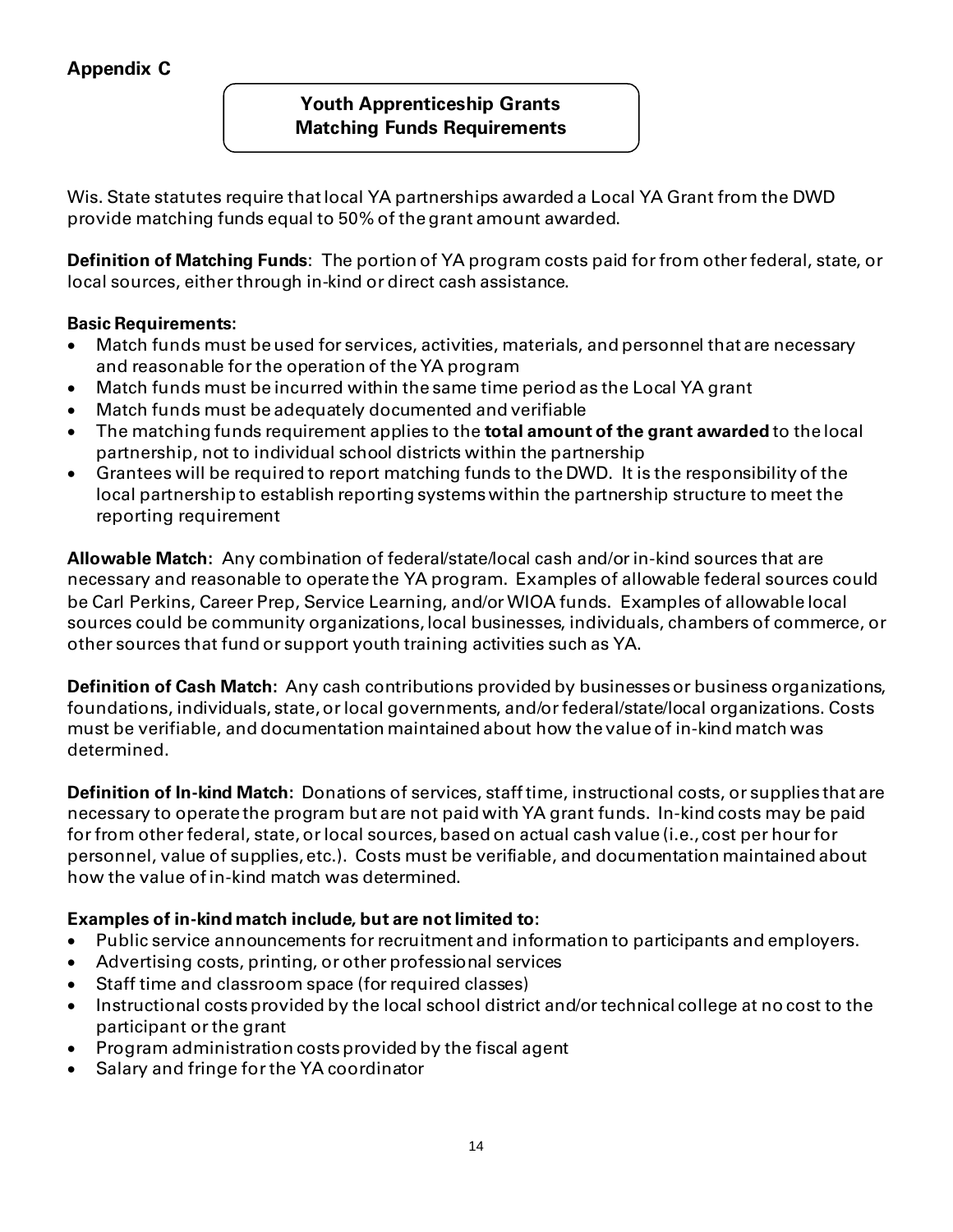# **Appendix C**

## **Youth Apprenticeship Grants Matching Funds Requirements**

Wis. State statutes require that local YA partnerships awarded a Local YA Grant from the DWD provide matching funds equal to 50% of the grant amount awarded.

**Definition of Matching Funds**: The portion of YA program costs paid for from other federal, state, or local sources, either through in-kind or direct cash assistance.

#### **Basic Requirements:**

- Match funds must be used for services, activities, materials, and personnel that are necessary and reasonable for the operation of the YA program
- Match funds must be incurred within the same time period as the Local YA grant
- Match funds must be adequately documented and verifiable
- The matching funds requirement applies to the **total amount of the grant awarded** to the local partnership, not to individual school districts within the partnership
- Grantees will be required to report matching funds to the DWD. It is the responsibility of the local partnership to establish reporting systems within the partnership structure to meet the reporting requirement

**Allowable Match:** Any combination of federal/state/local cash and/or in-kind sources that are necessary and reasonable to operate the YA program. Examples of allowable federal sources could be Carl Perkins, Career Prep, Service Learning, and/or WIOA funds. Examples of allowable local sources could be community organizations, local businesses, individuals, chambers of commerce, or other sources that fund or support youth training activities such as YA.

**Definition of Cash Match:** Any cash contributions provided by businesses or business organizations, foundations, individuals, state, or local governments, and/or federal/state/local organizations. Costs must be verifiable, and documentation maintained about how the value of in-kind match was determined.

**Definition of In-kind Match:** Donations of services, staff time, instructional costs, or supplies that are necessary to operate the program but are not paid with YA grant funds. In-kind costs may be paid for from otherfederal, state, or local sources, based on actual cash value (i.e., cost per hour for personnel, value of supplies, etc.). Costs must be verifiable, and documentation maintained about how the value of in-kind match was determined.

#### **Examples of in-kind match include, but are not limited to:**

- Public service announcements for recruitment and information to participants and employers.
- Advertising costs, printing, or other professional services
- Staff time and classroom space (for required classes)
- Instructional costs provided by the local school district and/or technical college at no cost to the participant or the grant
- Program administration costs provided by the fiscal agent
- Salary and fringe for the YA coordinator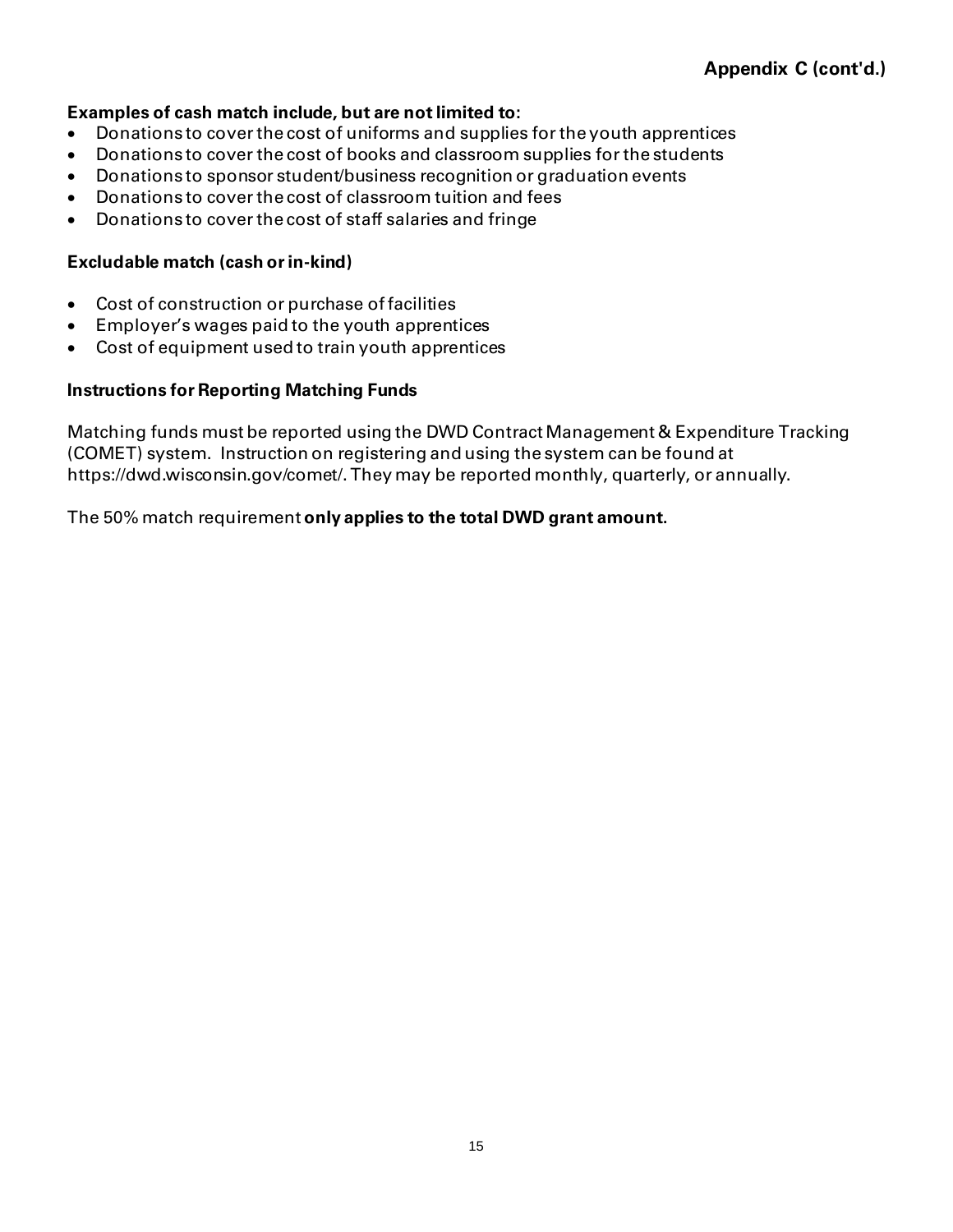#### **Examples of cash match include, but are not limited to:**

- Donations to cover the cost of uniforms and supplies for the youth apprentices
- Donations to cover the cost of books and classroom supplies forthe students
- Donations to sponsor student/business recognition or graduation events
- Donations to cover the cost of classroom tuition and fees
- Donations to cover the cost of staff salaries and fringe

#### **Excludable match (cash orin-kind)**

- Cost of construction or purchase of facilities
- Employer's wages paid to the youth apprentices
- Cost of equipment used to train youth apprentices

#### **Instructions for Reporting Matching Funds**

Matching funds must be reported using the DWD Contract Management & Expenditure Tracking (COMET) system. Instruction on registering and using the system can be found at https://dwd.wisconsin.gov/comet/.They may be reported monthly, quarterly, or annually.

#### The 50% match requirement **only applies to the total DWD grant amount.**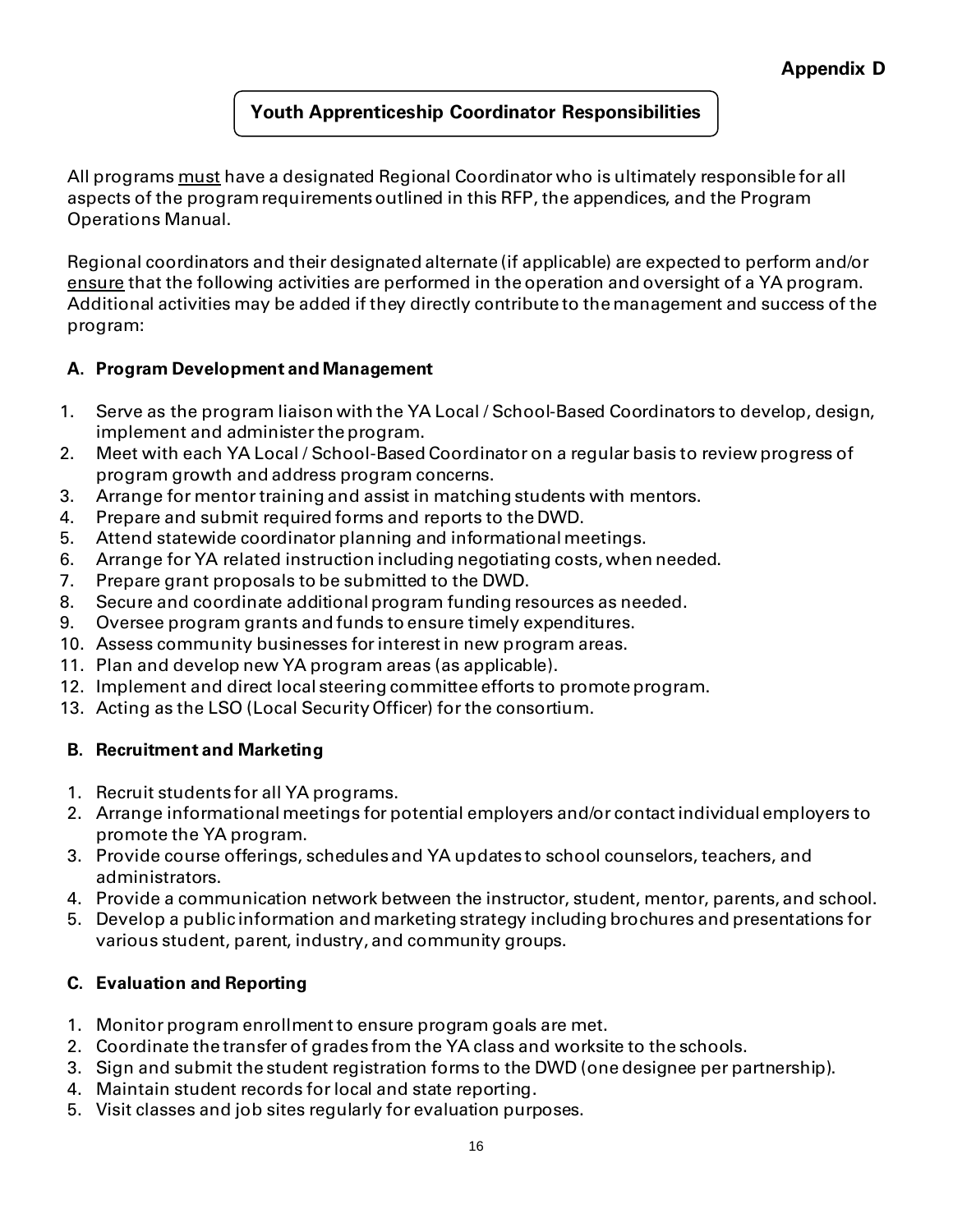# **Youth Apprenticeship Coordinator Responsibilities**

All programs must have a designated Regional Coordinator who is ultimately responsible for all aspects of the program requirementsoutlined in this RFP, the appendices, and the Program Operations Manual.

Regional coordinators and their designated alternate (if applicable) are expected to perform and/or ensure that the following activities are performed in the operation and oversight of a YA program. Additional activities may be added if they directly contribute to the management and success of the program:

# **A. Program Development and Management**

- 1. Serve as the program liaison with the YA Local / School-Based Coordinators to develop, design, implement and administer the program.
- 2. Meet with each YA Local / School-Based Coordinator on a regular basis to review progress of program growth and address program concerns.
- 3. Arrange for mentor training and assist in matching students with mentors.
- 4. Prepare and submit required forms and reports to the DWD.
- 5. Attend statewide coordinator planning and informational meetings.
- 6. Arrange for YA related instruction including negotiating costs, when needed.
- 7. Prepare grant proposals to be submitted to the DWD.
- 8. Secure and coordinate additional program funding resources as needed.
- 9. Oversee program grants and funds to ensure timely expenditures.
- 10. Assess community businesses for interest in new program areas.
- 11. Plan and develop new YA program areas (as applicable).
- 12. Implement and direct local steering committee efforts to promote program.
- 13. Acting as the LSO (Local Security Officer) for the consortium.

# **B. Recruitment and Marketing**

- 1. Recruit students for all YA programs.
- 2. Arrange informational meetings for potential employers and/or contact individual employers to promote the YA program.
- 3. Provide course offerings, schedules and YA updates to school counselors, teachers, and administrators.
- 4. Provide a communication network between the instructor, student, mentor, parents, and school.
- 5. Develop a public information and marketing strategy including brochures and presentations for various student, parent, industry, and community groups.

# **C. Evaluation and Reporting**

- 1. Monitor program enrollment to ensure program goals are met.
- 2. Coordinate the transfer of grades from the YA class and worksite to the schools.
- 3. Sign and submit the student registration forms to the DWD (one designee per partnership).
- 4. Maintain student records for local and state reporting.
- 5. Visit classes and job sites regularly for evaluation purposes.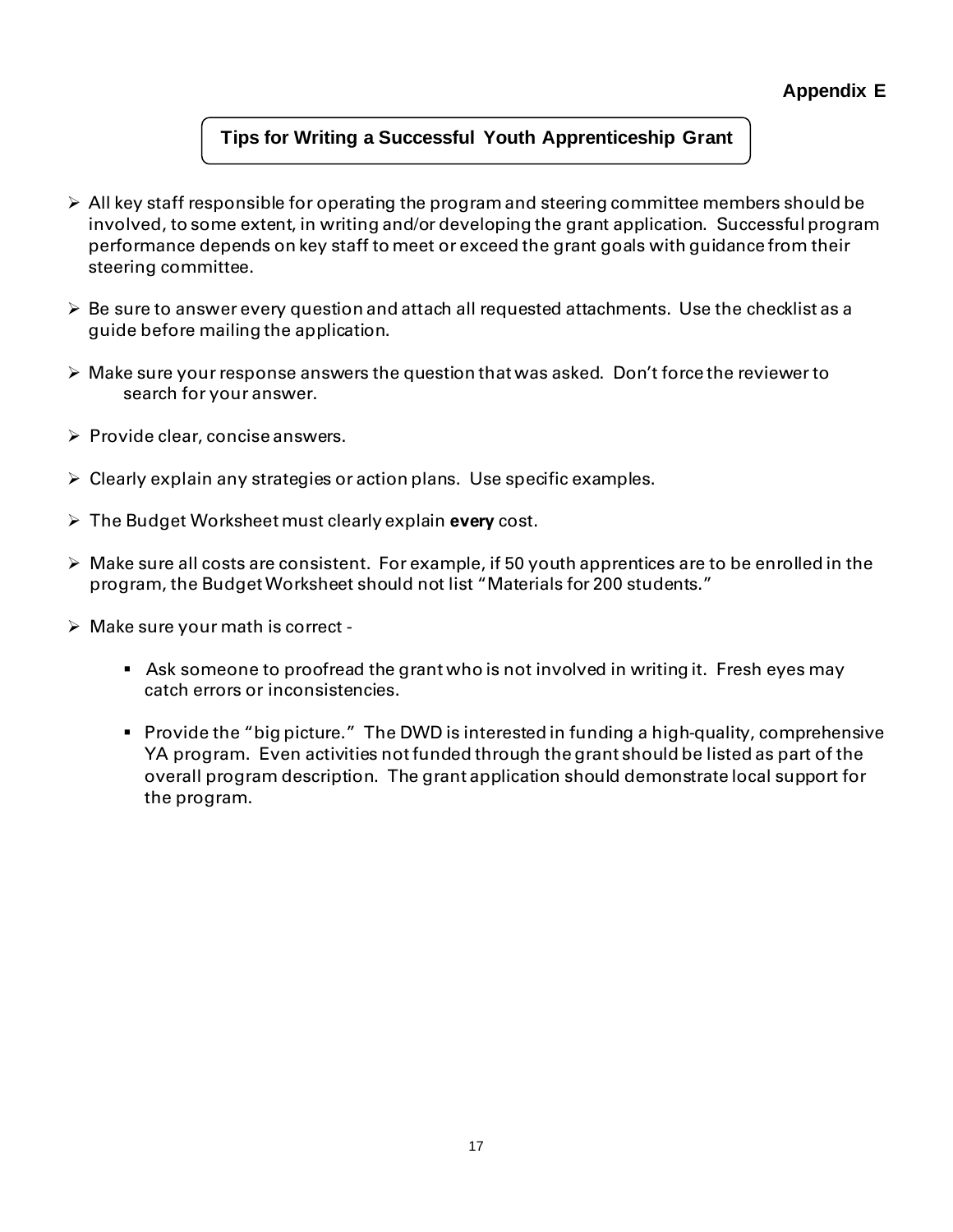# **Tips for Writing a Successful Youth Apprenticeship Grant**

- $\triangleright$  All key staff responsible for operating the program and steering committee members should be involved, to some extent, in writing and/or developing the grant application. Successful program performance depends on key staff to meet or exceed the grant goals with guidance from their steering committee.
- $\triangleright$  Be sure to answer every question and attach all requested attachments. Use the checklist as a guide before mailing the application.
- $\triangleright$  Make sure your response answers the question that was asked. Don't force the reviewer to search for your answer.
- ➢ Provide clear, concise answers.
- ➢ Clearly explain any strategies or action plans. Use specific examples.
- ➢ The Budget Worksheet must clearly explain **every** cost.
- ➢ Make sure all costs are consistent. For example, if 50 youth apprentices are to be enrolled in the program, the Budget Worksheet should not list "Materials for 200 students."
- $\triangleright$  Make sure your math is correct -
	- Ask someone to proofread the grant who is not involved in writing it. Fresh eyes may catch errors or inconsistencies.
	- Provide the "big picture." The DWD is interested in funding a high-quality, comprehensive YA program. Even activities not funded through the grant should be listed as part of the overall program description. The grant application should demonstrate local support for the program.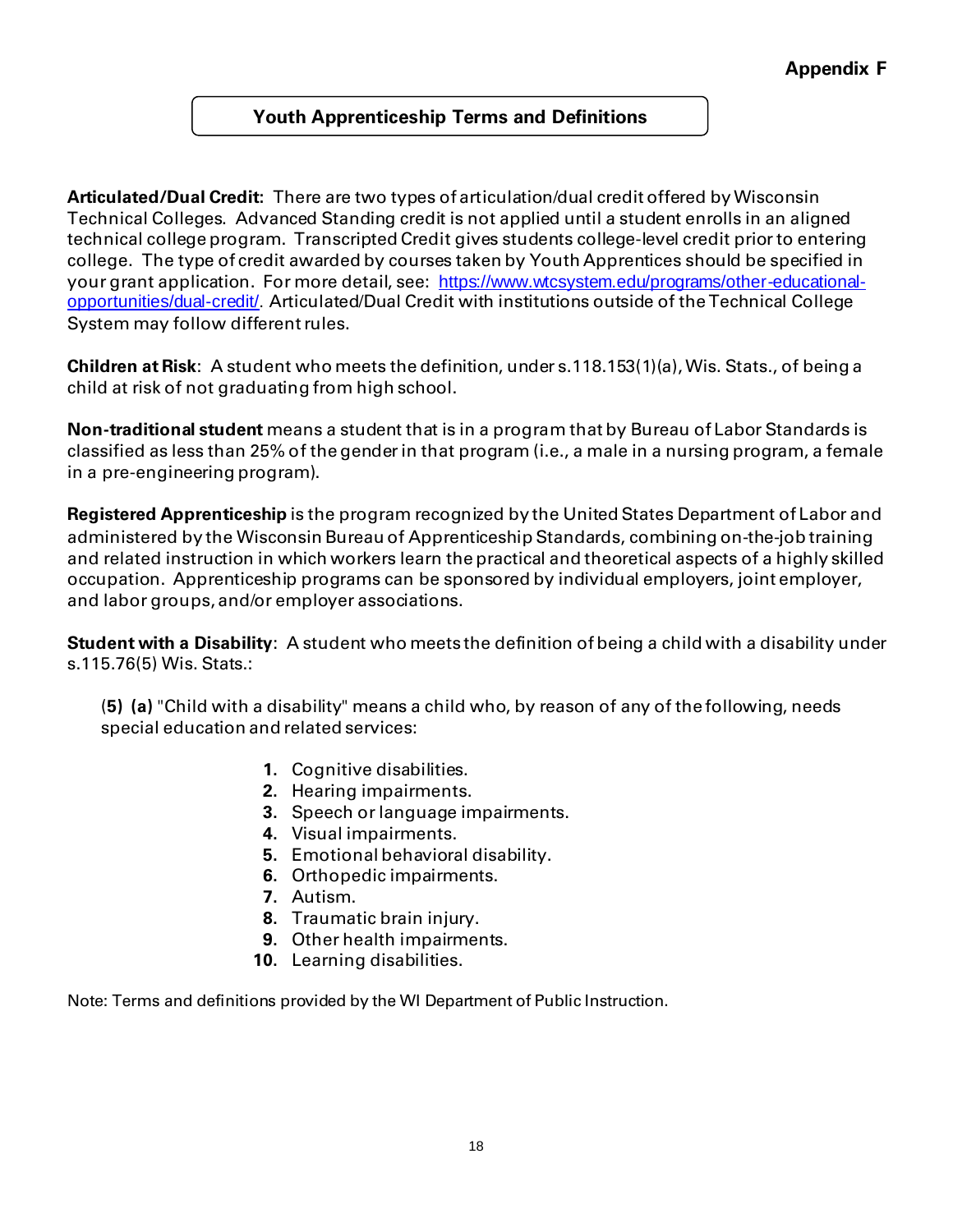# **Youth Apprenticeship Terms and Definitions**

**Articulated/Dual Credit:** There are two types of articulation/dual credit offered by Wisconsin Technical Colleges. Advanced Standing credit is not applied until a student enrolls in an aligned technical college program. Transcripted Credit gives students college-level credit prior to entering college. The type of credit awarded by courses taken by Youth Apprentices should be specified in your grant application. For more detail, see: [https://www.wtcsystem.edu/programs/other-educational](https://www.wtcsystem.edu/programs/other-educational-opportunities/dual-credit/)[opportunities/dual-credit/](https://www.wtcsystem.edu/programs/other-educational-opportunities/dual-credit/). Articulated/Dual Credit with institutions outside of the Technical College System may follow different rules.

**Children at Risk**: A student who meets the definition, under s.118.153(1)(a), Wis. Stats., of being a child at risk of not graduating from high school.

**Non-traditional student** means a student that is in a program that by Bureau of Labor Standards is classified as less than 25% of the genderin that program (i.e., a male in a nursing program, a female in a pre-engineering program).

**Registered Apprenticeship** is the program recognized by the United States Department of Labor and administered by the Wisconsin Bureau of Apprenticeship Standards, combining on-the-job training and related instruction in which workers learn the practical and theoretical aspects of a highly skilled occupation. Apprenticeship programs can be sponsored by individual employers, joint employer, and labor groups, and/or employer associations.

**Student with a Disability**: A student who meets the definition of being a child with a disability under s.115.76(5) Wis. Stats.:

(**5) (a)** "Child with a disability" means a child who, by reason of any of the following, needs special education and related services:

- **1.** Cognitive disabilities.
- **2.** Hearing impairments.
- **3.** Speech or language impairments.
- **4.** Visual impairments.
- **5.** Emotional behavioral disability.
- **6.** Orthopedic impairments.
- **7.** Autism.
- **8.** Traumatic brain injury.
- **9.** Other health impairments.
- **10.** Learning disabilities.

Note: Terms and definitions provided by the WI Department of Public Instruction.